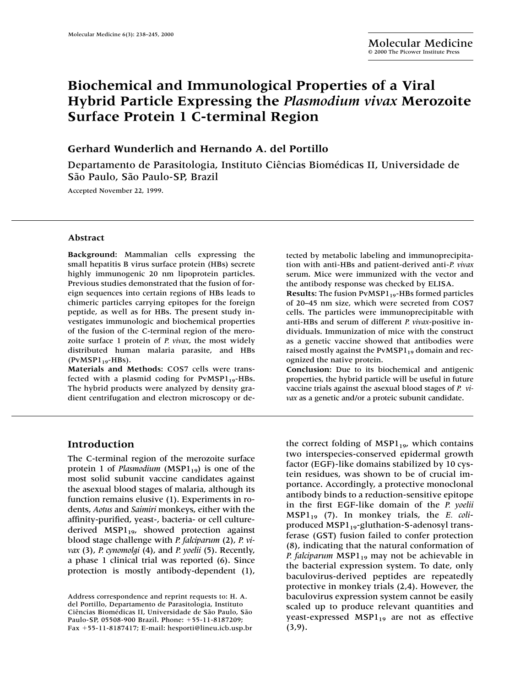# **Biochemical and Immunological Properties of a Viral Hybrid Particle Expressing the** *Plasmodium vivax* **Merozoite Surface Protein 1 C-terminal Region**

# **Gerhard Wunderlich and Hernando A. del Portillo**

Departamento de Parasitologia, Instituto Ciências Biomédicas II, Universidade de São Paulo, São Paulo-SP, Brazil

Accepted November 22, 1999.

#### **Abstract**

**Background:** Mammalian cells expressing the small hepatitis B virus surface protein (HBs) secrete highly immunogenic 20 nm lipoprotein particles. Previous studies demonstrated that the fusion of foreign sequences into certain regions of HBs leads to chimeric particles carrying epitopes for the foreign peptide, as well as for HBs. The present study investigates immunologic and biochemical properties of the fusion of the C-terminal region of the merozoite surface 1 protein of *P. vivax*, the most widely distributed human malaria parasite, and HBs  $(PvMSPI_{19}-HBs)$ .

**Materials and Methods:** COS7 cells were transfected with a plasmid coding for  $PvMSPI_{19}$ -HBs. The hybrid products were analyzed by density gradient centrifugation and electron microscopy or detected by metabolic labeling and immunoprecipitation with anti-HBs and patient-derived anti-*P. vivax* serum. Mice were immunized with the vector and the antibody response was checked by ELISA. **Results:** The fusion PvMSP1<sub>19</sub>-HBs formed particles of 20–45 nm size, which were secreted from COS7 cells. The particles were immunoprecipitable with anti-HBs and serum of different *P. vivax*-positive individuals. Immunization of mice with the construct as a genetic vaccine showed that antibodies were raised mostly against the PvMSP $1_{19}$  domain and recognized the native protein.

**Conclusion:** Due to its biochemical and antigenic properties, the hybrid particle will be useful in future vaccine trials against the asexual blood stages of *P. vivax* as a genetic and/or a proteic subunit candidate.

#### **Introduction**

The C-terminal region of the merozoite surface protein 1 of *Plasmodium* (MSP1<sub>19</sub>) is one of the most solid subunit vaccine candidates against the asexual blood stages of malaria, although its function remains elusive (1). Experiments in rodents, *Aotus* and *Saimiri* monkeys, either with the affinity-purified, yeast-, bacteria- or cell culturederived MSP1<sub>19</sub>, showed protection against blood stage challenge with *P. falciparum* (2), *P. vivax* (3), *P. cynomolgi* (4), and *P. yoelii* (5). Recently, a phase 1 clinical trial was reported (6). Since protection is mostly antibody-dependent (1),

the correct folding of  $MSPI_{19}$ , which contains two interspecies-conserved epidermal growth factor (EGF)-like domains stabilized by 10 cystein residues, was shown to be of crucial importance. Accordingly, a protective monoclonal antibody binds to a reduction-sensitive epitope in the first EGF-like domain of the *P. yoelii* MSP119 (7). In monkey trials, the *E. coli*produced MSP1<sub>19</sub>-gluthation-S-adenosyl transferase (GST) fusion failed to confer protection (8), indicating that the natural conformation of *P. falciparum* MSP1<sub>19</sub> may not be achievable in the bacterial expression system. To date, only baculovirus-derived peptides are repeatedly protective in monkey trials (2,4). However, the baculovirus expression system cannot be easily scaled up to produce relevant quantities and yeast-expressed  $MSPI_{19}$  are not as effective  $(3, 9)$ .

Address correspondence and reprint requests to: H. A. del Portillo, Departamento de Parasitologia, Instituto Ciências Biomédicas II, Universidade de São Paulo, São Paulo-SP, 05508-900 Brazil. Phone: +55-11-8187209; Fax -55-11-8187417; E-mail: hesporti@lineu.icb.usp.br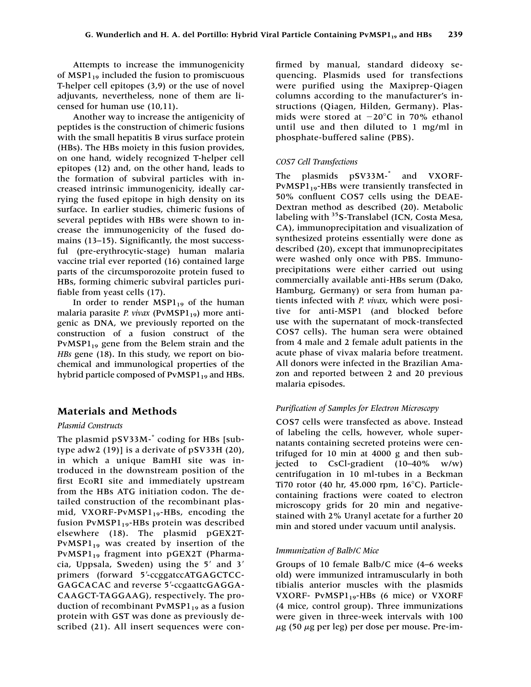Attempts to increase the immunogenicity of  $MSPI_{19}$  included the fusion to promiscuous T-helper cell epitopes (3,9) or the use of novel adjuvants, nevertheless, none of them are licensed for human use (10,11).

Another way to increase the antigenicity of peptides is the construction of chimeric fusions with the small hepatitis B virus surface protein (HBs). The HBs moiety in this fusion provides, on one hand, widely recognized T-helper cell epitopes (12) and, on the other hand, leads to the formation of subviral particles with increased intrinsic immunogenicity, ideally carrying the fused epitope in high density on its surface. In earlier studies, chimeric fusions of several peptides with HBs were shown to increase the immunogenicity of the fused domains (13–15). Significantly, the most successful (pre-erythrocytic-stage) human malaria vaccine trial ever reported (16) contained large parts of the circumsporozoite protein fused to HBs, forming chimeric subviral particles purifiable from yeast cells (17).

In order to render  $MSPI_{19}$  of the human malaria parasite *P. vivax* (PvMSP1<sub>19</sub>) more antigenic as DNA, we previously reported on the construction of a fusion construct of the PvMSP1<sub>19</sub> gene from the Belem strain and the *HBs* gene (18). In this study, we report on biochemical and immunological properties of the hybrid particle composed of PvMSP1<sub>19</sub> and HBs.

# **Materials and Methods**

### *Plasmid Constructs*

The plasmid pSV33M- $\check{ }$  coding for HBs [subtype adw2 (19)] is a derivate of pSV33H (20), in which a unique BamHI site was introduced in the downstream position of the first EcoRI site and immediately upstream from the HBs ATG initiation codon. The detailed construction of the recombinant plasmid, VXORF-PvMSP $1_{19}$ -HBs, encoding the fusion PvMSP $1_{19}$ -HBs protein was described elsewhere (18). The plasmid pGEX2T-PvMSP1<sub>19</sub> was created by insertion of the PvMSP1<sub>19</sub> fragment into pGEX2T (Pharmacia, Uppsala, Sweden) using the  $5'$  and  $3'$ primers (forward 5'-ccggatccATGAGCTCC-GAGCACAC and reverse 5'-ccgaattcGAGGA-CAAGCT-TAGGAAG), respectively. The production of recombinant  $PvMSPI_{19}$  as a fusion protein with GST was done as previously described (21). All insert sequences were confirmed by manual, standard dideoxy sequencing. Plasmids used for transfections were purified using the Maxiprep-Qiagen columns according to the manufacturer's instructions (Qiagen, Hilden, Germany). Plasmids were stored at  $-20^{\circ}$ C in 70% ethanol until use and then diluted to 1 mg/ml in phosphate-buffered saline (PBS).

## *COS7 Cell Transfections*

The plasmids pSV33M-\* and VXORF- $PvMSPI_{19}$ -HBs were transiently transfected in 50% confluent COS7 cells using the DEAE-Dextran method as described (20). Metabolic labeling with <sup>35</sup>S-Translabel (ICN, Costa Mesa, CA), immunoprecipitation and visualization of synthesized proteins essentially were done as described (20), except that immunoprecipitates were washed only once with PBS. Immunoprecipitations were either carried out using commercially available anti-HBs serum (Dako, Hamburg, Germany) or sera from human patients infected with *P. vivax*, which were positive for anti-MSP1 (and blocked before use with the supernatant of mock-transfected COS7 cells). The human sera were obtained from 4 male and 2 female adult patients in the acute phase of vivax malaria before treatment. All donors were infected in the Brazilian Amazon and reported between 2 and 20 previous malaria episodes.

### *Purification of Samples for Electron Microscopy*

COS7 cells were transfected as above. Instead of labeling the cells, however, whole supernatants containing secreted proteins were centrifuged for 10 min at 4000 g and then subjected to CsCl-gradient (10–40% w/w) centrifugation in 10 ml-tubes in a Beckman Ti70 rotor (40 hr, 45.000 rpm,  $16^{\circ}$ C). Particlecontaining fractions were coated to electron microscopy grids for 20 min and negativestained with 2% Uranyl acetate for a further 20 min and stored under vacuum until analysis.

### *Immunization of Balb/C Mice*

Groups of 10 female Balb/C mice (4–6 weeks old) were immunized intramuscularly in both tibialis anterior muscles with the plasmids VXORF- PvMSP1<sub>19</sub>-HBs (6 mice) or VXORF (4 mice, control group). Three immunizations were given in three-week intervals with 100  $\mu$ g (50  $\mu$ g per leg) per dose per mouse. Pre-im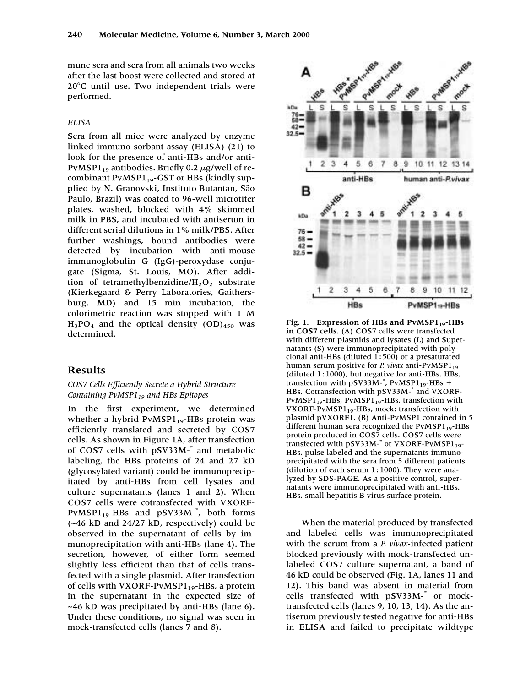mune sera and sera from all animals two weeks after the last boost were collected and stored at 20C until use. Two independent trials were performed.

#### *ELISA*

Sera from all mice were analyzed by enzyme linked immuno-sorbant assay (ELISA) (21) to look for the presence of anti-HBs and/or anti-PvMSP1 $_{19}$  antibodies. Briefly 0.2  $\mu$ g/well of recombinant  $PvMSPI_{19}$ -GST or HBs (kindly supplied by N. Granovski, Instituto Butantan, São Paulo, Brazil) was coated to 96-well microtiter plates, washed, blocked with 4% skimmed milk in PBS, and incubated with antiserum in different serial dilutions in 1% milk/PBS. After further washings, bound antibodies were detected by incubation with anti-mouse immunoglobulin G (IgG)-peroxydase conjugate (Sigma, St. Louis, MO). After addition of tetramethylbenzidine/ $H_2O_2$  substrate (Kierkegaard & Perry Laboratories, Gaithersburg, MD) and 15 min incubation, the colorimetric reaction was stopped with 1 M  $H_3PO_4$  and the optical density  $(OD)_{450}$  was determined.

### **Results**

#### *COS7 Cells Efficiently Secrete a Hybrid Structure Containing PvMSP119 and HBs Epitopes*

In the first experiment, we determined whether a hybrid  $PvMSPI_{19}$ -HBs protein was efficiently translated and secreted by COS7 cells. As shown in Figure 1A, after transfection of COS7 cells with pSV33M-\* and metabolic labeling, the HBs proteins of 24 and 27 kD (glycosylated variant) could be immunoprecipitated by anti-HBs from cell lysates and culture supernatants (lanes 1 and 2). When COS7 cells were cotransfected with VXORF- $PvMSPI_{19}$ -HBs and  $pSV33M$ -\*, both forms (~46 kD and 24/27 kD, respectively) could be observed in the supernatant of cells by immunoprecipitation with anti-HBs (lane 4). The secretion, however, of either form seemed slightly less efficient than that of cells transfected with a single plasmid. After transfection of cells with VXORF-PvMSP $1_{19}$ -HBs, a protein in the supernatant in the expected size of ~46 kD was precipitated by anti-HBs (lane 6). Under these conditions, no signal was seen in mock-transfected cells (lanes 7 and 8).



Fig. 1. Expression of HBs and PvMSP1<sub>19</sub>-HBs **in COS7 cells.** (A) COS7 cells were transfected with different plasmids and lysates (L) and Supernatants (S) were immunoprecipitated with polyclonal anti-HBs (diluted 1 : 500) or a presaturated human serum positive for *P. vivax* anti-PvMSP1<sub>19</sub>  $(diluted 1:1000)$ , but negative for anti-HBs. HBs, transfection with pSV33M- $*$ , PvMSP1<sub>19</sub>-HBs + HBs, Cotransfection with pSV33M-\* and VXORF- $PvMSPI_{19}$ -HBs,  $PvMSPI_{19}$ -HBs, transfection with VXORF-PvMSP1<sub>19</sub>-HBs, mock: transfection with plasmid pVXORF1. (B) Anti-PvMSP1 contained in 5 different human sera recognized the  $PvMSPI_{19}$ -HBs protein produced in COS7 cells. COS7 cells were transfected with  $pSV33M$ <sup>-\*</sup> or VXORF-PvMSP1<sub>19</sub>-HBs, pulse labeled and the supernatants immunoprecipitated with the sera from 5 different patients (dilution of each serum 1:1000). They were analyzed by SDS-PAGE. As a positive control, supernatants were immunoprecipitated with anti-HBs. HBs, small hepatitis B virus surface protein.

When the material produced by transfected and labeled cells was immunoprecipitated with the serum from a *P. vivax*-infected patient blocked previously with mock-transfected unlabeled COS7 culture supernatant, a band of 46 kD could be observed (Fig. 1A, lanes 11 and 12). This band was absent in material from cells transfected with pSV33M-\* or mocktransfected cells (lanes 9, 10, 13, 14). As the antiserum previously tested negative for anti-HBs in ELISA and failed to precipitate wildtype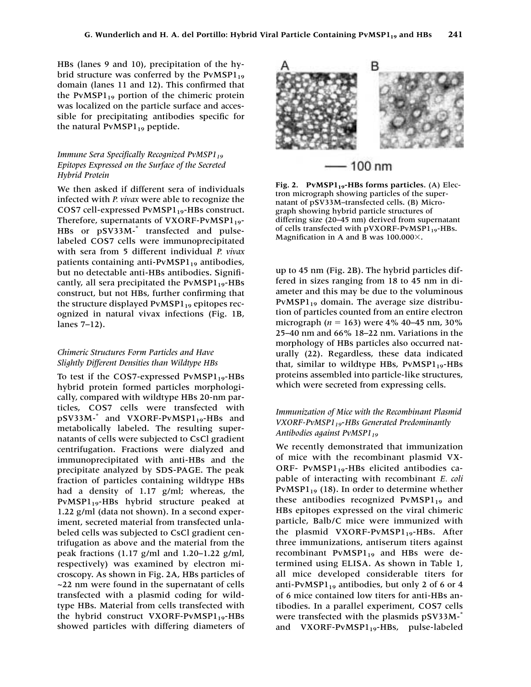HBs (lanes 9 and 10), precipitation of the hybrid structure was conferred by the  $PvMSPI_{19}$ domain (lanes 11 and 12). This confirmed that the PvMSP $1_{19}$  portion of the chimeric protein was localized on the particle surface and accessible for precipitating antibodies specific for the natural  $PvMSPI_{19}$  peptide.

#### *Immune Sera Specifically Recognized PvMSP1*<sup>19</sup> *Epitopes Expressed on the Surface of the Secreted Hybrid Protein*

We then asked if different sera of individuals infected with *P. vivax* were able to recognize the COS7 cell-expressed  $PvMSPI_{19}$ -HBs construct. Therefore, supernatants of VXORF-PvMSP $1_{19}$ -HBs or pSV33M-\* transfected and pulselabeled COS7 cells were immunoprecipitated with sera from 5 different individual *P. vivax* patients containing anti-PvMSP $1_{19}$  antibodies, but no detectable anti-HBs antibodies. Significantly, all sera precipitated the  $PvMSPI_{19}$ -HBs construct, but not HBs, further confirming that the structure displayed  $PvMSPI_{19}$  epitopes recognized in natural vivax infections (Fig. 1B, lanes 7–12).

#### *Chimeric Structures Form Particles and Have Slightly Different Densities than Wildtype HBs*

To test if the COS7-expressed  $PvMSPI_{19}$ -HBs hybrid protein formed particles morphologically, compared with wildtype HBs 20-nm particles, COS7 cells were transfected with  $pSV33M-$ \* and VXORF-PvMSP1<sub>19</sub>-HBs and metabolically labeled. The resulting supernatants of cells were subjected to CsCl gradient centrifugation. Fractions were dialyzed and immunoprecipitated with anti-HBs and the precipitate analyzed by SDS-PAGE. The peak fraction of particles containing wildtype HBs had a density of 1.17 g/ml; whereas, the PvMSP1<sub>19</sub>-HBs hybrid structure peaked at 1.22 g/ml (data not shown). In a second experiment, secreted material from transfected unlabeled cells was subjected to CsCl gradient centrifugation as above and the material from the peak fractions (1.17 g/ml and 1.20–1.22 g/ml, respectively) was examined by electron microscopy. As shown in Fig. 2A, HBs particles of ~22 nm were found in the supernatant of cells transfected with a plasmid coding for wildtype HBs. Material from cells transfected with the hybrid construct VXORF-PvMSP $1_{19}$ -HBs showed particles with differing diameters of



# - 100 nm

Fig. 2. PvMSP1<sub>19</sub>-HBs forms particles. (A) Electron micrograph showing particles of the supernatant of pSV33M–transfected cells. (B) Micrograph showing hybrid particle structures of differing size (20–45 nm) derived from supernatant of cells transfected with  $pVXORF-PvMSPI_{19}$ -HBs. Magnification in A and B was  $100.000 \times$ .

up to 45 nm (Fig. 2B). The hybrid particles differed in sizes ranging from 18 to 45 nm in diameter and this may be due to the voluminous  $PvMSPI_{19}$  domain. The average size distribution of particles counted from an entire electron micrograph ( $n = 163$ ) were 4% 40–45 nm, 30% 25–40 nm and 66% 18–22 nm. Variations in the morphology of HBs particles also occurred naturally (22). Regardless, these data indicated that, similar to wildtype HBs,  $PvMSPI_{19}$ -HBs proteins assembled into particle-like structures, which were secreted from expressing cells.

#### *Immunization of Mice with the Recombinant Plasmid VXORF-PvMSP119*-*HBs Generated Predominantly* Antibodies against PvMSP1<sub>19</sub>

We recently demonstrated that immunization of mice with the recombinant plasmid VX-ORF- PvMSP $1_{19}$ -HBs elicited antibodies capable of interacting with recombinant *E. coli*  $PvMSPI_{19}$  (18). In order to determine whether these antibodies recognized  $PvMSPI_{19}$  and HBs epitopes expressed on the viral chimeric particle, Balb/C mice were immunized with the plasmid VXORF-PvMSP $1_{19}$ -HBs. After three immunizations, antiserum titers against recombinant PvMSP $1_{19}$  and HBs were determined using ELISA. As shown in Table 1, all mice developed considerable titers for anti-PvMSP $1_{19}$  antibodies, but only 2 of 6 or 4 of 6 mice contained low titers for anti-HBs antibodies. In a parallel experiment, COS7 cells were transfected with the plasmids pSV33M-<sup>\*</sup> and VXORF-PvMSP1<sub>19</sub>-HBs, pulse-labeled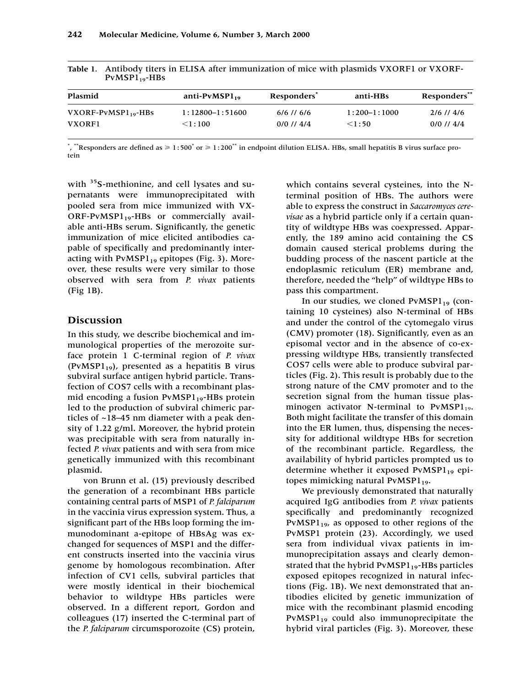| Plasmid                   | anti- $PvMSPI_{19}$ | Responders <sup>®</sup> | anti-HBs       | Responders**   |
|---------------------------|---------------------|-------------------------|----------------|----------------|
| $VXORF-PvMSPI_{19} - HBs$ | $1:12800-1:51600$   | $6/6$ // 6/6            | $1:200-1:1000$ | $2/6$ // $4/6$ |
| <b>VXORF1</b>             | < 1:100             | $0/0$ // 4/4            | < 1:50         | $0/0$ // $4/4$ |

| Table 1. Antibody titers in ELISA after immunization of mice with plasmids VXORF1 or VXORF- |
|---------------------------------------------------------------------------------------------|
| $PvMSPI_{19}$ -HBs                                                                          |

\*, \*\*Responders are defined as  $\geq 1:500^*$  or  $\geq 1:200^{**}$  in endpoint dilution ELISA. HBs, small hepatitis B virus surface protein

with <sup>35</sup>S-methionine, and cell lysates and supernatants were immunoprecipitated with pooled sera from mice immunized with VX-ORF-PvMSP $1_{19}$ -HBs or commercially available anti-HBs serum. Significantly, the genetic immunization of mice elicited antibodies capable of specifically and predominantly interacting with  $PvMSPI_{19}$  epitopes (Fig. 3). Moreover, these results were very similar to those observed with sera from *P. vivax* patients (Fig 1B).

### **Discussion**

In this study, we describe biochemical and immunological properties of the merozoite surface protein 1 C-terminal region of *P. vivax* (PvMSP $1_{19}$ ), presented as a hepatitis B virus subviral surface antigen hybrid particle. Transfection of COS7 cells with a recombinant plasmid encoding a fusion  $PvMSPI_{19}$ -HBs protein led to the production of subviral chimeric particles of ~18–45 nm diameter with a peak density of 1.22 g/ml. Moreover, the hybrid protein was precipitable with sera from naturally infected *P. vivax* patients and with sera from mice genetically immunized with this recombinant plasmid.

von Brunn et al. (15) previously described the generation of a recombinant HBs particle containing central parts of MSP1 of *P. falciparum* in the vaccinia virus expression system. Thus, a significant part of the HBs loop forming the immunodominant a-epitope of HBsAg was exchanged for sequences of MSP1 and the different constructs inserted into the vaccinia virus genome by homologous recombination. After infection of CV1 cells, subviral particles that were mostly identical in their biochemical behavior to wildtype HBs particles were observed. In a different report, Gordon and colleagues (17) inserted the C-terminal part of the *P. falciparum* circumsporozoite (CS) protein,

which contains several cysteines, into the Nterminal position of HBs. The authors were able to express the construct in *Saccaromyces cerevisae* as a hybrid particle only if a certain quantity of wildtype HBs was coexpressed. Apparently, the 189 amino acid containing the CS domain caused sterical problems during the budding process of the nascent particle at the endoplasmic reticulum (ER) membrane and, therefore, needed the "help" of wildtype HBs to pass this compartment.

In our studies, we cloned  $PvMSPI_{19}$  (containing 10 cysteines) also N-terminal of HBs and under the control of the cytomegalo virus (CMV) promoter (18). Significantly, even as an episomal vector and in the absence of co-expressing wildtype HBs, transiently transfected COS7 cells were able to produce subviral particles (Fig. 2). This result is probably due to the strong nature of the CMV promoter and to the secretion signal from the human tissue plasminogen activator N-terminal to  $PvMSPI_{19}$ . Both might facilitate the transfer of this domain into the ER lumen, thus, dispensing the necessity for additional wildtype HBs for secretion of the recombinant particle. Regardless, the availability of hybrid particles prompted us to determine whether it exposed  $PvMSPI_{19}$  epitopes mimicking natural  $PvMSPI_{19}$ .

We previously demonstrated that naturally acquired IgG antibodies from *P. vivax* patients specifically and predominantly recognized  $PvMSPI_{19}$ , as opposed to other regions of the PvMSP1 protein (23). Accordingly, we used sera from individual vivax patients in immunoprecipitation assays and clearly demonstrated that the hybrid  $PvMSPI_{19}$ -HBs particles exposed epitopes recognized in natural infections (Fig. 1B). We next demonstrated that antibodies elicited by genetic immunization of mice with the recombinant plasmid encoding  $PvMSPI_{19}$  could also immunoprecipitate the hybrid viral particles (Fig. 3). Moreover, these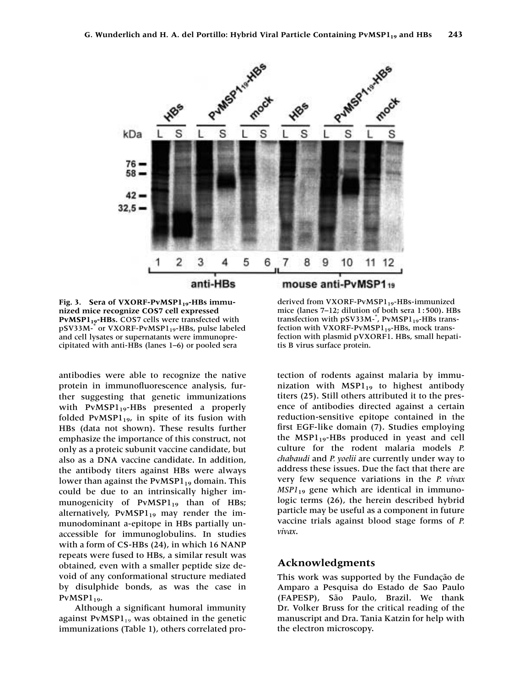

Fig. 3. Sera of VXORF-PvMSP1<sub>19</sub>-HBs immu**nized mice recognize COS7 cell expressed** PvMSP1<sub>19</sub>-HBs. COS7 cells were transfected with pSV33M-\* or VXORF-PvMSP1<sub>19</sub>-HBs, pulse labeled and cell lysates or supernatants were immunoprecipitated with anti-HBs (lanes 1–6) or pooled sera

antibodies were able to recognize the native protein in immunofluorescence analysis, further suggesting that genetic immunizations with  $PvMSPI_{19}$ -HBs presented a properly folded PvMSP $1_{19}$ , in spite of its fusion with HBs (data not shown). These results further emphasize the importance of this construct, not only as a proteic subunit vaccine candidate, but also as a DNA vaccine candidate. In addition, the antibody titers against HBs were always lower than against the  $PvMSPI_{19}$  domain. This could be due to an intrinsically higher immunogenicity of  $PvMSPI_{19}$  than of HBs; alternatively,  $PvMSPI_{19}$  may render the immunodominant a-epitope in HBs partially unaccessible for immunoglobulins. In studies with a form of CS-HBs (24), in which 16 NANP repeats were fused to HBs, a similar result was obtained, even with a smaller peptide size devoid of any conformational structure mediated by disulphide bonds, as was the case in  $PvMSPI_{19}$ .

Although a significant humoral immunity against PvMSP $1_{19}$  was obtained in the genetic immunizations (Table 1), others correlated pro-

derived from VXORF-PvMSP $1_{19}$ -HBs-immunized mice (lanes 7-12; dilution of both sera 1:500). HBs transfection with pSV33M-<sup>\*</sup>, PvMSP1<sub>19</sub>-HBs transfection with VXORF-PvMSP $1_{19}$ -HBs, mock transfection with plasmid pVXORF1. HBs, small hepatitis B virus surface protein.

tection of rodents against malaria by immunization with  $MSPI_{19}$  to highest antibody titers (25). Still others attributed it to the presence of antibodies directed against a certain reduction-sensitive epitope contained in the first EGF-like domain (7). Studies employing the  $MSPI_{19}$ -HBs produced in yeast and cell culture for the rodent malaria models *P. chabaudi* and *P. yoelii* are currently under way to address these issues. Due the fact that there are very few sequence variations in the *P. vivax MSP1*<sup>19</sup> gene which are identical in immunologic terms (26), the herein described hybrid particle may be useful as a component in future vaccine trials against blood stage forms of *P. vivax*.

## **Acknowledgments**

This work was supported by the Fundação de Amparo a Pesquisa do Estado de Sao Paulo (FAPESP), São Paulo, Brazil. We thank Dr. Volker Bruss for the critical reading of the manuscript and Dra. Tania Katzin for help with the electron microscopy.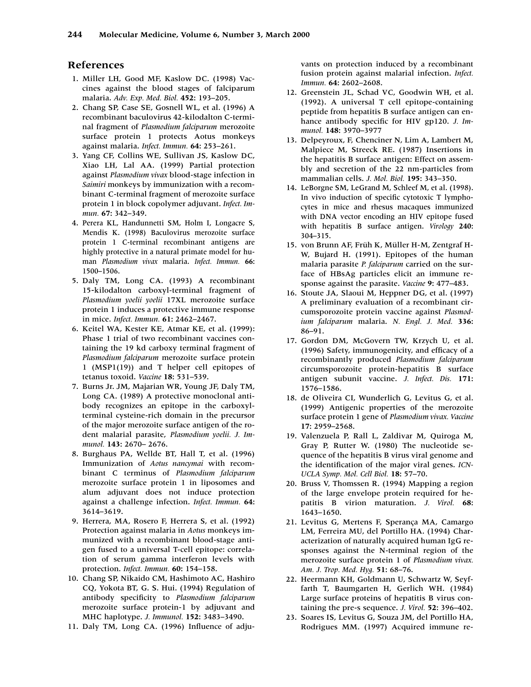### **References**

- 1. Miller LH, Good MF, Kaslow DC. (1998) Vaccines against the blood stages of falciparum malaria. *Adv. Exp. Med. Biol.* **452:** 193–205.
- 12. Chang SP, Case SE, Gosnell WL, et al. (1996) A recombinant baculovirus 42-kilodalton C-terminal fragment of *Plasmodium falciparum* merozoite surface protein 1 protects Aotus monkeys against malaria. *Infect. Immun.* **64:** 253–261.
- 13. Yang CF, Collins WE, Sullivan JS, Kaslow DC, Xiao LH, Lal AA. (1999) Partial protection against *Plasmodium vivax* blood-stage infection in *Saimiri* monkeys by immunization with a recombinant C-terminal fragment of merozoite surface protein 1 in block copolymer adjuvant. *Infect. Immun.* **67:** 342–349.
- 14. Perera KL, Handunnetti SM, Holm I, Longacre S, Mendis K. (1998) Baculovirus merozoite surface protein 1 C-terminal recombinant antigens are highly protective in a natural primate model for human *Plasmodium vivax* malaria. *Infect. Immun.* **66:** 1500–1506.
- 15. Daly TM, Long CA. (1993) A recombinant 15-kilodalton carboxyl-terminal fragment of *Plasmodium yoelii yoelii* 17XL merozoite surface protein 1 induces a protective immune response in mice. *Infect. Immun.* **61:** 2462–2467.
- 16. Keitel WA, Kester KE, Atmar KE, et al. (1999): Phase 1 trial of two recombinant vaccines containing the 19 kd carboxy terminal fragment of *Plasmodium falciparum* merozoite surface protein 1 (MSP1(19)) and T helper cell epitopes of tetanus toxoid. *Vaccine* **18:** 531–539.
- 17. Burns Jr. JM, Majarian WR, Young JF, Daly TM, Long CA. (1989) A protective monoclonal antibody recognizes an epitope in the carboxylterminal cysteine-rich domain in the precursor of the major merozoite surface antigen of the rodent malarial parasite, *Plasmodium yoelii. J. Immunol.* **143:** 2670– 2676.
- 18. Burghaus PA, Wellde BT, Hall T, et al. (1996) Immunization of *Aotus nancymai* with recombinant C terminus of *Plasmodium falciparum* merozoite surface protein 1 in liposomes and alum adjuvant does not induce protection against a challenge infection. *Infect. Immun.* **64:** 3614–3619.
- 19. Herrera, MA, Rosero F, Herrera S, et al. (1992) Protection against malaria in *Aotus* monkeys immunized with a recombinant blood-stage antigen fused to a universal T-cell epitope: correlation of serum gamma interferon levels with protection. *Infect. Immun.* **60:** 154–158.
- 10. Chang SP, Nikaido CM, Hashimoto AC, Hashiro CQ, Yokota BT, G. S. Hui. (1994) Regulation of antibody specificity to *Plasmodium falciparum* merozoite surface protein-1 by adjuvant and MHC haplotype. *J. Immunol.* **152:** 3483–3490.
- 11. Daly TM, Long CA. (1996) Influence of adju-

vants on protection induced by a recombinant fusion protein against malarial infection. *Infect. Immun.* **64:** 2602–2608.

- 12. Greenstein JL, Schad VC, Goodwin WH, et al. (1992). A universal T cell epitope-containing peptide from hepatitis B surface antigen can enhance antibody specific for HIV gp120. *J. Immunol.* **148:** 3970–3977
- 13. Delpeyroux, F, Chenciner N, Lim A, Lambert M, Malpiece M, Streeck RE. (1987) Insertions in the hepatitis B surface antigen: Effect on assembly and secretion of the 22 nm-particles from mammalian cells. *J. Mol. Biol.* **195:** 343–350.
- 14. LeBorgne SM, LeGrand M, Schleef M, et al. (1998). In vivo induction of specific cytotoxic T lymphocytes in mice and rhesus macaques immunized with DNA vector encoding an HIV epitope fused with hepatitis B surface antigen. *Virology* **240:** 304–315.
- 15. von Brunn AF, Früh K, Müller H-M, Zentgraf H-W, Bujard H. (1991). Epitopes of the human malaria parasite *P. falciparum* carried on the surface of HBsAg particles elicit an immune response against the parasite. *Vaccine* **9:** 477–483.
- 16. Stoute JA, Slaoui M, Heppner DG, et al. (1997) A preliminary evaluation of a recombinant circumsporozoite protein vaccine against *Plasmodium falciparum* malaria. *N. Engl. J. Med.* **336:** 86–91.
- 17. Gordon DM, McGovern TW, Krzych U, et al. (1996) Safety, immunogenicity, and efficacy of a recombinantly produced *Plasmodium falciparum* circumsporozoite protein-hepatitis B surface antigen subunit vaccine. *J. Infect. Dis.* **171:** 1576–1586.
- 18. de Oliveira CI, Wunderlich G, Levitus G, et al. (1999) Antigenic properties of the merozoite surface protein 1 gene of *Plasmodium vivax. Vaccine* **17:** 2959–2568.
- 19. Valenzuela P, Rall L, Zaldivar M, Quiroga M, Gray P, Rutter W. (1980) The nucleotide sequence of the hepatitis B virus viral genome and the identification of the major viral genes. *ICN-UCLA Symp. Mol. Cell Biol.* **18:** 57–70.
- 20. Bruss V, Thomssen R. (1994) Mapping a region of the large envelope protein required for hepatitis B virion maturation. *J. Virol.* **68:** 1643–1650.
- 21. Levitus G, Mertens F, Sperança MA, Camargo LM, Ferreira MU, del Portillo HA. (1994) Characterization of naturally acquired human IgG responses against the N-terminal region of the merozoite surface protein 1 of *Plasmodium vivax. Am. J. Trop. Med. Hyg.* **51:** 68–76.
- 22. Heermann KH, Goldmann U, Schwartz W, Seyffarth T, Baumgarten H, Gerlich WH. (1984) Large surface proteins of hepatitis B virus containing the pre-s sequence. *J. Virol.* **52:** 396–402.
- 23. Soares IS, Levitus G, Souza JM, del Portillo HA, Rodrigues MM. (1997) Acquired immune re-